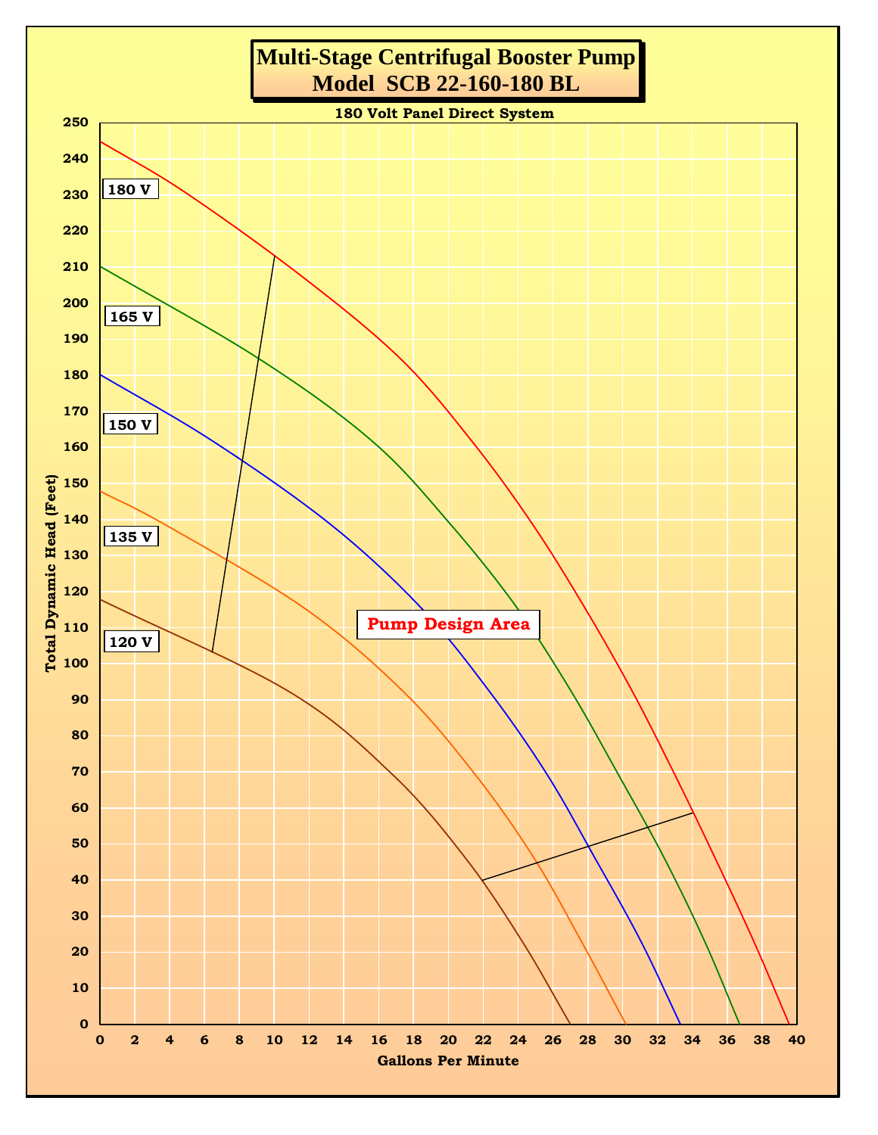